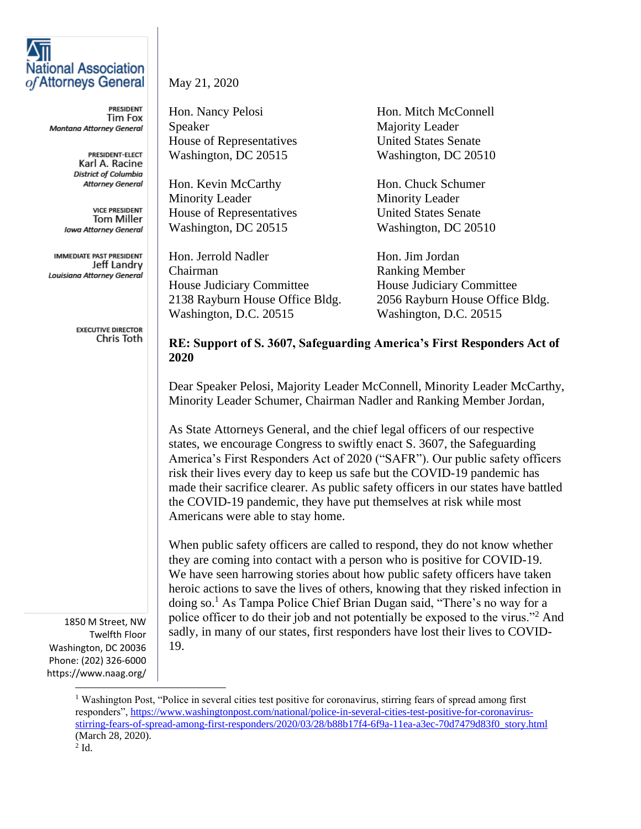| <b>National Association</b><br>of Attorneys General                                                          | May 21, 2020                                                                                                                                                                                                                                                                                                                                                                                                                                                                                                                                                                                                 |                                 |
|--------------------------------------------------------------------------------------------------------------|--------------------------------------------------------------------------------------------------------------------------------------------------------------------------------------------------------------------------------------------------------------------------------------------------------------------------------------------------------------------------------------------------------------------------------------------------------------------------------------------------------------------------------------------------------------------------------------------------------------|---------------------------------|
| PRESIDENT<br>Tim Fox                                                                                         | Hon. Nancy Pelosi                                                                                                                                                                                                                                                                                                                                                                                                                                                                                                                                                                                            | Hon. Mitch McConnell            |
| Montana Attorney General                                                                                     | Speaker                                                                                                                                                                                                                                                                                                                                                                                                                                                                                                                                                                                                      | <b>Majority Leader</b>          |
|                                                                                                              | House of Representatives                                                                                                                                                                                                                                                                                                                                                                                                                                                                                                                                                                                     | <b>United States Senate</b>     |
| <b>PRESIDENT-ELECT</b><br>Karl A. Racine<br>District of Columbia                                             | Washington, DC 20515                                                                                                                                                                                                                                                                                                                                                                                                                                                                                                                                                                                         | Washington, DC 20510            |
| Attorney General                                                                                             | Hon. Kevin McCarthy                                                                                                                                                                                                                                                                                                                                                                                                                                                                                                                                                                                          | Hon. Chuck Schumer              |
|                                                                                                              | <b>Minority Leader</b>                                                                                                                                                                                                                                                                                                                                                                                                                                                                                                                                                                                       | <b>Minority Leader</b>          |
| <b>VICE PRESIDENT</b><br><b>Tom Miller</b>                                                                   | House of Representatives                                                                                                                                                                                                                                                                                                                                                                                                                                                                                                                                                                                     | <b>United States Senate</b>     |
| <b>Iowa Attorney General</b>                                                                                 | Washington, DC 20515                                                                                                                                                                                                                                                                                                                                                                                                                                                                                                                                                                                         | Washington, DC 20510            |
| <b>IMMEDIATE PAST PRESIDENT</b>                                                                              | Hon. Jerrold Nadler                                                                                                                                                                                                                                                                                                                                                                                                                                                                                                                                                                                          | Hon. Jim Jordan                 |
| Jeff Landry<br>Louisiana Attorney General                                                                    | Chairman                                                                                                                                                                                                                                                                                                                                                                                                                                                                                                                                                                                                     | <b>Ranking Member</b>           |
|                                                                                                              | House Judiciary Committee                                                                                                                                                                                                                                                                                                                                                                                                                                                                                                                                                                                    | House Judiciary Committee       |
|                                                                                                              | 2138 Rayburn House Office Bldg.                                                                                                                                                                                                                                                                                                                                                                                                                                                                                                                                                                              | 2056 Rayburn House Office Bldg. |
|                                                                                                              | Washington, D.C. 20515                                                                                                                                                                                                                                                                                                                                                                                                                                                                                                                                                                                       | Washington, D.C. 20515          |
| <b>EXECUTIVE DIRECTOR</b><br>Chris Toth                                                                      | RE: Support of S. 3607, Safeguarding America's First Responders Act of<br>2020                                                                                                                                                                                                                                                                                                                                                                                                                                                                                                                               |                                 |
|                                                                                                              | Dear Speaker Pelosi, Majority Leader McConnell, Minority Leader McCarthy,<br>Minority Leader Schumer, Chairman Nadler and Ranking Member Jordan,                                                                                                                                                                                                                                                                                                                                                                                                                                                             |                                 |
|                                                                                                              | As State Attorneys General, and the chief legal officers of our respective<br>states, we encourage Congress to swiftly enact S. 3607, the Safeguarding<br>America's First Responders Act of 2020 ("SAFR"). Our public safety officers<br>risk their lives every day to keep us safe but the COVID-19 pandemic has<br>made their sacrifice clearer. As public safety officers in our states have battled<br>the COVID-19 pandemic, they have put themselves at risk while most<br>Americans were able to stay home.                                                                                           |                                 |
| 1850 M Street, NW<br>Twelfth Floor<br>Washington, DC 20036<br>Phone: (202) 326-6000<br>https://www.naag.org/ | When public safety officers are called to respond, they do not know whether<br>they are coming into contact with a person who is positive for COVID-19.<br>We have seen harrowing stories about how public safety officers have taken<br>heroic actions to save the lives of others, knowing that they risked infection in<br>doing so. <sup>1</sup> As Tampa Police Chief Brian Dugan said, "There's no way for a<br>police officer to do their job and not potentially be exposed to the virus." <sup>2</sup> And<br>sadly, in many of our states, first responders have lost their lives to COVID-<br>19. |                                 |

<sup>&</sup>lt;sup>1</sup> Washington Post, "Police in several cities test positive for coronavirus, stirring fears of spread among first responders", [https://www.washingtonpost.com/national/police-in-several-cities-test-positive-for-coronavirus](https://www.washingtonpost.com/national/police-in-several-cities-test-positive-for-coronavirus-stirring-fears-of-spread-among-first-responders/2020/03/28/b88b17f4-6f9a-11ea-a3ec-70d7479d83f0_story.html)[stirring-fears-of-spread-among-first-responders/2020/03/28/b88b17f4-6f9a-11ea-a3ec-70d7479d83f0\\_story.html](https://www.washingtonpost.com/national/police-in-several-cities-test-positive-for-coronavirus-stirring-fears-of-spread-among-first-responders/2020/03/28/b88b17f4-6f9a-11ea-a3ec-70d7479d83f0_story.html) (March 28, 2020).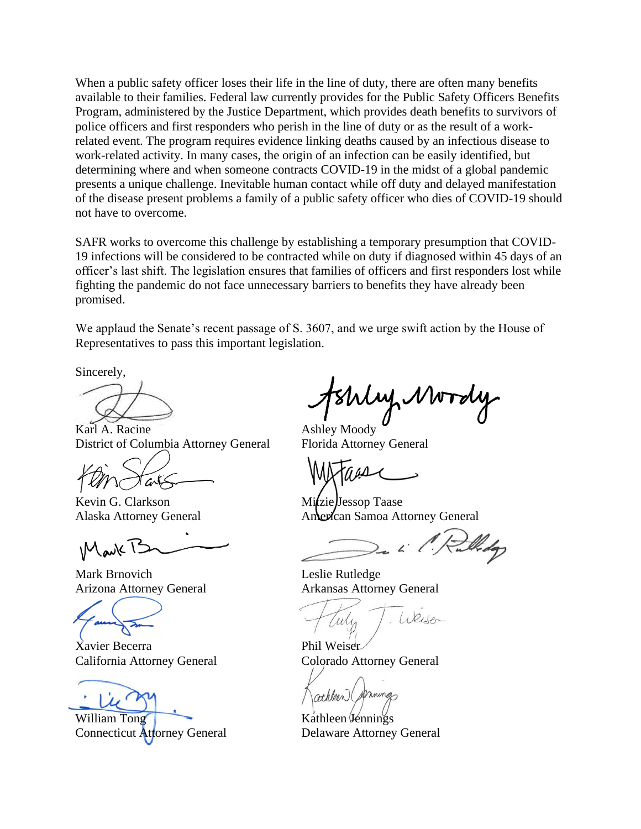When a public safety officer loses their life in the line of duty, there are often many benefits available to their families. Federal law currently provides for the Public Safety Officers Benefits Program, administered by the Justice Department, which provides death benefits to survivors of police officers and first responders who perish in the line of duty or as the result of a workrelated event. The program requires evidence linking deaths caused by an infectious disease to work-related activity. In many cases, the origin of an infection can be easily identified, but determining where and when someone contracts COVID-19 in the midst of a global pandemic presents a unique challenge. Inevitable human contact while off duty and delayed manifestation of the disease present problems a family of a public safety officer who dies of COVID-19 should not have to overcome.

SAFR works to overcome this challenge by establishing a temporary presumption that COVID-19 infections will be considered to be contracted while on duty if diagnosed within 45 days of an officer's last shift. The legislation ensures that families of officers and first responders lost while fighting the pandemic do not face unnecessary barriers to benefits they have already been promised.

We applaud the Senate's recent passage of S. 3607, and we urge swift action by the House of Representatives to pass this important legislation.

Sincerely,

Karl A. Racine **Ashley Moody** District of Columbia Attorney General Florida Attorney General

 $\omega$ 

Kevin G. Clarkson Mitzie Jessop Taase

IM ark 1

Mark Brnovich Leslie Rutledge

Xavier Becerra Phil Weiser California Attorney General Colorado Attorney General

William Tong Kathleen Vennings

WWToly

Alaska Attorney General American Samoa Attorney General

Arizona Attorney General Arkansas Attorney General

 $10016-$ Teily

athleen (formings

Connecticut Attorney General Delaware Attorney General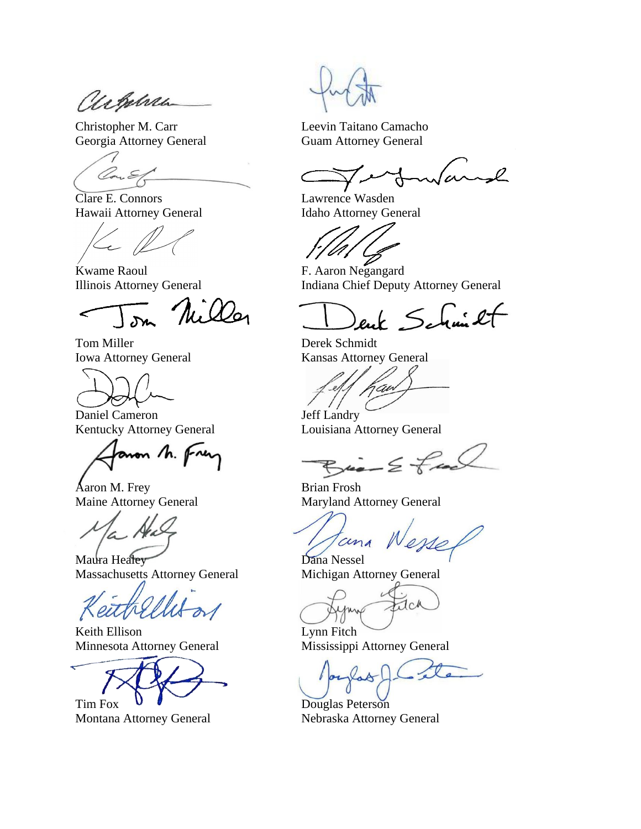achebra

Christopher M. Carr Leevin Taitano Camacho

(Con. E.

Clare E. Connors Lawrence Wasden

kwame Raoul F. Aaron Negangard

Miller

Tom Miller Derek Schmidt



Daniel Cameron Jeff Landry Kentucky Attorney General Louisiana Attorney General

non h. fren

Aaron M. Frey Brian Frosh

Maura Healey Dana Nessel Massachusetts Attorney General Michigan Attorney General

Keith Ellison Lynn Fitch Minnesota Attorney General Mississippi Attorney General

Tim Fox  $\bullet$  Douglas Peterson

Montana Attorney General Nebraska Attorney General

Georgia Attorney General Guam Attorney General

 $\sim$ l

Hawaii Attorney General Idaho Attorney General

Illinois Attorney General Indiana Chief Deputy Attorney General

enk Schmilt

Iowa Attorney General Kansas Attorney General

an

 $\ldots \leq \neq \infty$ 

Maine Attorney General Maryland Attorney General

ana Nesse

JcA

las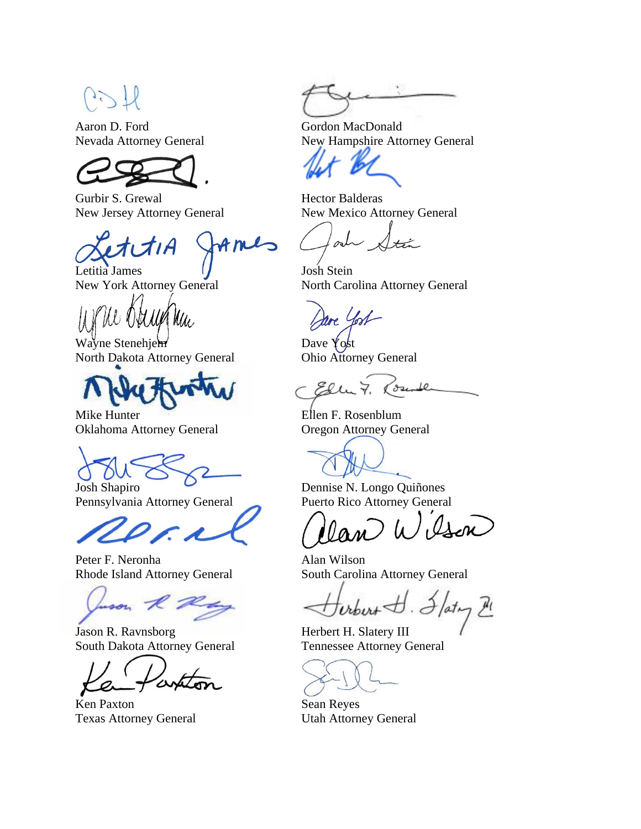Aaron D. Ford Gordon MacDonald



Gurbir S. Grewal **Hector Balderas** 

Letitia James  $1/\sqrt{ }$  Josh Stein

Obelle Mu

Wayne Stenehjem  $\blacksquare$ North Dakota Attorney General Ohio Attorney General



Mike Hunter **Ellen F. Rosenblum** Oklahoma Attorney General Oregon Attorney General

Pennsylvania Attorney General Puerto Rico Attorney General

Peter F. Neronha Alan Wilson

son R

Jason R. Ravnsborg Herbert H. Slatery III South Dakota Attorney General Tennessee Attorney General

Ken Paxton Sean Reyes Texas Attorney General Utah Attorney General

Nevada Attorney General New Hampshire Attorney General

New Jersey Attorney General New Mexico Attorney General

och ينهيلا

New York Attorney General North Carolina Attorney General

are Yost

Counter Elle 7.

Josh Shapiro Dennise N. Longo Quiñones

Ason  $\mu$ 

Rhode Island Attorney General South Carolina Attorney General

 $\frac{d}{dt}$ . Iaty  $\frac{\mu}{\mu}$  $v_{\text{t}but}$